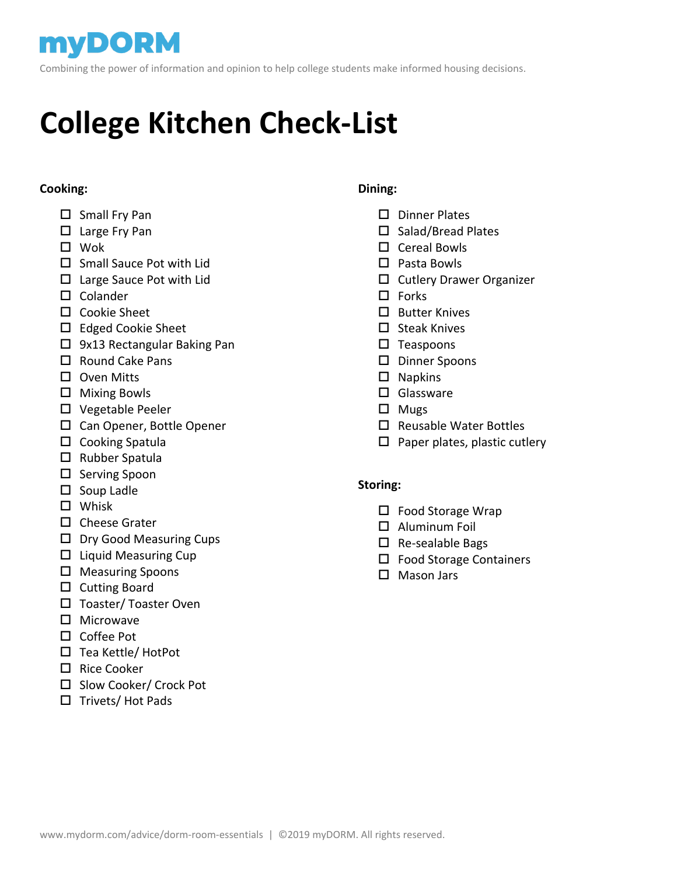## **MYDORM**

Combining the power of information and opinion to help college students make informed housing decisions.

# **College Kitchen Check-List**

#### **Cooking:**

- $\square$  Small Fry Pan
- □ Large Fry Pan
- Wok
- $\square$  Small Sauce Pot with Lid
- $\Box$  Large Sauce Pot with Lid
- $\square$  Colander
- Cookie Sheet
- □ Edged Cookie Sheet
- □ 9x13 Rectangular Baking Pan
- $\Box$  Round Cake Pans
- D Oven Mitts
- $\Box$  Mixing Bowls
- □ Vegetable Peeler
- □ Can Opener, Bottle Opener
- $\square$  Cooking Spatula
- $\square$  Rubber Spatula
- $\square$  Serving Spoon
- $\square$  Soup Ladle
- □ Whisk
- $\square$  Cheese Grater
- $\square$  Dry Good Measuring Cups
- $\Box$  Liquid Measuring Cup
- $\square$  Measuring Spoons
- $\square$  Cutting Board
- $\square$  Toaster/ Toaster Oven
- $\square$  Microwave
- □ Coffee Pot
- □ Tea Kettle/ HotPot
- $\Box$  Rice Cooker
- $\square$  Slow Cooker/ Crock Pot
- $\square$  Trivets/ Hot Pads

#### **Dining:**

- $\Pi$  Dinner Plates
- $\square$  Salad/Bread Plates
- □ Cereal Bowls
- □ Pasta Bowls
- $\square$  Cutlery Drawer Organizer
- $\square$  Forks
- $\square$  Butter Knives
- $\square$  Steak Knives
- $\square$  Teaspoons
- Dinner Spoons
- $\square$  Napkins
- □ Glassware
- $\Box$  Mugs
- $\square$  Reusable Water Bottles
- $\square$  Paper plates, plastic cutlery

#### **Storing:**

- $\square$  Food Storage Wrap
- Aluminum Foil
- $\square$  Re-sealable Bags
- □ Food Storage Containers
- □ Mason Jars